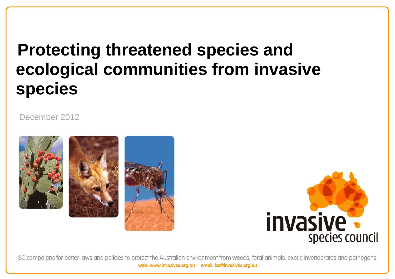# **Protecting threatened species and ecological communities from invasive species**

December 2012





ISC campaigns for better laws and policies to protect the Australian environment from weeds, feral animals, exotic invertebrates and pathogens. web: www.invasives.org.au | email: isc@invasives.org.au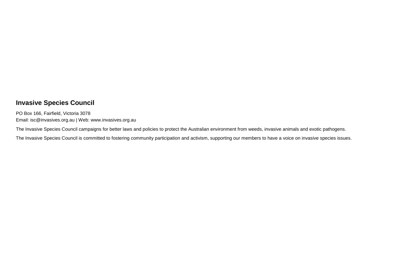## **Invasive Species Council**

PO Box 166, Fairfield, Victoria 3078 Email: isc@invasives.org.au | Web: www.invasives.org.au

The Invasive Species Council campaigns for better laws and policies to protect the Australian environment from weeds, invasive animals and exotic pathogens.

The Invasive Species Council is committed to fostering community participation and activism, supporting our members to have a voice on invasive species issues.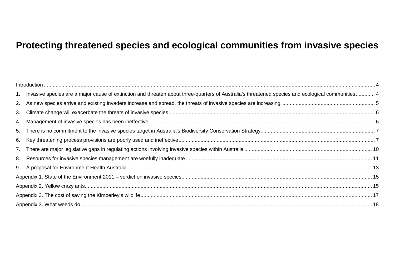## **Protecting threatened species and ecological communities from invasive species**

|    | 1. Invasive species are a major cause of extinction and threaten about three-quarters of Australia's threatened species and ecological communities 4 |  |  |  |  |
|----|------------------------------------------------------------------------------------------------------------------------------------------------------|--|--|--|--|
| 2. |                                                                                                                                                      |  |  |  |  |
| 3. |                                                                                                                                                      |  |  |  |  |
| 4. |                                                                                                                                                      |  |  |  |  |
| 5. |                                                                                                                                                      |  |  |  |  |
| 6. |                                                                                                                                                      |  |  |  |  |
| 7. |                                                                                                                                                      |  |  |  |  |
| 8. |                                                                                                                                                      |  |  |  |  |
|    |                                                                                                                                                      |  |  |  |  |
|    |                                                                                                                                                      |  |  |  |  |
|    |                                                                                                                                                      |  |  |  |  |
|    |                                                                                                                                                      |  |  |  |  |
|    |                                                                                                                                                      |  |  |  |  |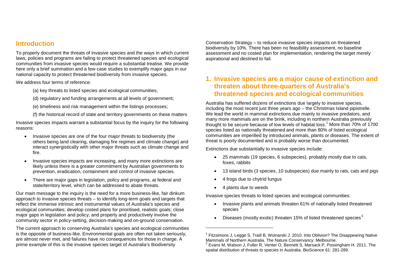## <span id="page-3-0"></span>**Introduction**

To properly document the threats of invasive species and the ways in which current laws, policies and programs are failing to protect threatened species and ecological communities from invasive species would require a substantial treatise. We provide here only a brief summation and a few case studies to exemplify major gaps in our national capacity to protect threatened biodiversity from invasive species.

We address four terms of reference:

(a) key threats to listed species and ecological communities;

(d) regulatory and funding arrangements at all levels of government;

(e) timeliness and risk management within the listings processes;

(f) the historical record of state and territory governments on these matters

Invasive species impacts warrant a substantial focus by the inquiry for the following reasons:

- Invasive species are one of the four major threats to biodiversity (the others being land clearing, damaging fire regimes and climate change) and interact synergistically with other major threats such as climate change and fire.
- Invasive species impacts are increasing, and many more extinctions are likely unless there is a greater commitment by Australian governments to prevention, eradication, containment and control of invasive species.
- There are major gaps in legislation, policy and programs, at federal and state/territory level, which can be addressed to abate threats.

Our main message to the inquiry is the need for a more business-like, fair dinkum approach to invasive species threats – to identify long-term goals and targets that reflect the immense intrinsic and instrumental values of Australia's species and ecological communities; develop costed plans for prioritised, realistic goals; close major gaps in legislation and policy; and properly and productively involve the community sector in policy-setting, decision-making and on-ground conservation.

The current approach to conserving Australia's species and ecological communities is the opposite of business-like. Environmental goals are often not taken seriously, are almost never met, and failures have no consequences for those in charge. A prime example of this is the invasive species target of Australia's Biodiversity

<span id="page-3-4"></span><span id="page-3-3"></span><span id="page-3-2"></span>Conservation Strategy – to reduce invasive species impacts on threatened biodiversity by 10%. There has been no feasibility assessment, no baseline assessment and no costed plan for implementation, rendering the target merely aspirational and destined to fail.

## <span id="page-3-1"></span>**1. Invasive species are a major cause of extinction and threaten about three-quarters of Australia's threatened species and ecological communities**

Australia has suffered dozens of extinctions due largely to invasive species, including the most recent just three years ago – the Christmas Island pipistrelle. We lead the world in mammal extinctions due mainly to invasive predators, and many more mammals are on the brink, including in northern Australia previously thought to be secure because of low levels of habitat loss.<sup>[1](#page-3-2)</sup> More than 70% of 1700 species listed as nationally threatened and more than 80% of listed ecological communities are imperilled by introduced animals, plants or diseases. The extent of threat is poorly documented and is probably worse than documented.

Extinctions due substantially to invasive species include:

- 25 mammals (19 species, 6 subspecies), probably mostly due to cats, foxes, rabbits
- 13 island birds (3 species, 10 subspecies) due mainly to rats, cats and pigs
- 4 frogs due to chytrid fungus
- 4 plants due to weeds

-

Invasive species threats to listed species and ecological communities:

- Invasive plants and animals threaten 61% of nationally listed threatened species<sup>[2](#page-3-3)</sup>
- Diseases (mostly exotic) threaten 15% of listed threatened species<sup>[3](#page-3-4)</sup>

 $1$  Fitzsimons J, Legge S, Traill B, Woinarski J. 2010. Into Oblivion? The Disappearing Native Mammals of Northern Australia. The Nature Conservancy: Melbourne.

<sup>&</sup>lt;sup>2</sup> Evans M, Watson J, Fuller R, Venter O, Bennett S, Marsack P, Possingham H. 2011. The spatial distribution of threats to species in Australia. BioScience 61: 281-289.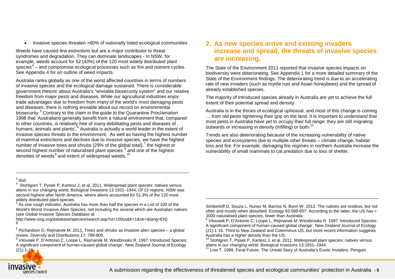• Invasive species threaten >80% of nationally listed ecological communities

Weeds have caused few extinctions but are a major contributor to threat syndromes and degradation. They can dominate landscapes - In NSW, for example, weeds account for 52 (43%) of the 120 most widely distributed plant species $4$  – and compromise ecological processes such as fire and nutrient cycles. See Appendix 4 for an outline of weed impacts.

Australia ranks globally as one of the worst affected countries in terms of numbers of invasive species and the ecological damage sustained. There is considerable government rhetoric about Australia's "enviable biosecurity system" and our relative freedom from major pests and diseases. While our agricultural industries enjoy trade advantages due to freedom from many of the world's most damaging pests and diseases, there is nothing enviable about our record on environmental biosecurity.<sup>[5](#page-4-3)</sup> Contrary to the claim in the guide to the Quarantine Proclamation 1998 that 'Australians generally benefit from a natural environment that, compared to other countries, is relatively free of many debilitating pests and diseases of humans, animals and plants', <sup>[6](#page-4-4)</sup> Australia is actually a world leader in the extent of invasive species threats to the environment. As well as having the highest number of mammal extinctions and declines due to invasive species, we have the highest number of invasive trees and shrubs (29% of the global total),  $\frac{7}{1}$  $\frac{7}{1}$  $\frac{7}{1}$  the highest or second highest number of naturalised plant species,<sup>[8](#page-4-6)</sup> and one of the highest densities of weeds $9$  and extent of widespread weeds.<sup>[10](#page-4-6)</sup>

## <span id="page-4-8"></span><span id="page-4-7"></span><span id="page-4-6"></span><span id="page-4-5"></span><span id="page-4-4"></span><span id="page-4-3"></span><span id="page-4-2"></span><span id="page-4-0"></span>**2. As new species arrive and existing invaders increase and spread, the threats of invasive species are increasing.**

The State of the Environment 2011 reported that invasive species impacts on biodiversity were deteriorating. See Appendix 1 for a more detailed summary of the State of the Environment findings. The deteriorating trend is due to an accelerating rate of new invaders (such as myrtle rust and Asian honeybees) and the spread of already established species.

The majority of introduced species already in Australia are yet to achieve the full extent of their potential spread and density:

Australia is in the throes of ecological upheaval, and most of this change is coming … from old pests tightening their grip on the land. It is important to understand that most pests in Australia have yet to occupy their full range: they are still migrating outwards or increasing in density (infilling) or both.<sup>[11](#page-4-8)</sup>

<span id="page-4-1"></span>Trends are also deteriorating because of the increasing vulnerability of native species and ecosystems due to multiple other threats – climate change, habitat loss and fire. For example, damaging fire regimes in northern Australia increase the vulnerability of small mammals to cat predation due to loss of shelter.

-

 $\frac{3}{4}$  Ibid.<br> $\frac{4}{4}$  Stohlgren T, Pysek P, Kartesz J, et al. 2011. Widespread plant species: natives versus aliens in our changing world. Biological Invasions 13:1931–1944. Of 13 regions, NSW was second highest after North America, where aliens accounted for 51.3% of the 120 most widely distributed plant species.

<sup>5</sup> As one rough indicator, Australia has more than half the species in a List of 100 of the World's Worst Invasive Alien Species, not including the several which are Australian natives (see Global Invasive Species Database at

http://www.issg.org/database/species/search.asp?st=100ss&fr=1&str=&lang=EN)



**<sup>7</sup>** Richardson D, Rejmánek M. 2011. Trees and shrubs as invasive alien species – a global

<sup>&</sup>lt;sup>8</sup> Vitousek P, D'Antonio C, Loope L, Rejmanek M, Westbrooks R, 1997. Introduced Species: A significant component of human-caused global change'. New Zealand Journal of Ecology  $(21) 1 - 16$ .

Simberloff D, Souza L, Nunez M, Barrios N, Bunn W. 2012. The natives are restless, but not often and mostly when disturbed. Ecology 93:598-607. According to the latter, the US has < 3000 naturalised plant species, fewer than Australia.

<sup>9</sup> Vitousek P, D'Antonio C, Loope L, Rejmanek M, Westbrooks R. 1997.'Introduced Species: A significant component of human-caused global change'. New Zealand Journal of Ecology (21) 1-16. Third to New Zealand and Coterminus US, but more recent information suggests Australia has a higher density than the US.

 $10$  Stohlgren T, Pysek P, Kartesz J, et al. 2011. Widespread plant species: natives versus aliens in our changing world. Biological Invasions 13:1931–1944.

<sup>&</sup>lt;sup>11</sup> Low T. 1999. Feral Future: The Untold Story of Australia's Exotic Invaders. Penguin.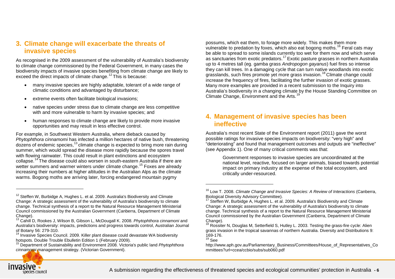## **3. Climate change will exacerbate the threats of invasive species**

As recognised in the 2009 assessment of the vulnerability of Australia's biodiversity to climate change commissioned by the Federal Government, in many cases the biodiversity impacts of invasive species benefiting from climate change are likely to exceed the direct impacts of climate change.<sup>[12](#page-5-1)</sup> This is because:

- many invasive species are highly adaptable, tolerant of a wide range of climatic conditions and advantaged by disturbance;
- extreme events often facilitate biological invasions:
- native species under stress due to climate change are less competitive with and more vulnerable to harm by invasive species; and
- human responses to climate change are likely to provide more invasive opportunities and may result in less effective control.

For example, in Southwest Western Australia, where dieback caused by *Phytophthora cinnamomi* has infected a million hectares of native bush, threatening  $d^2$  dozens of endemic species,  $13$  climate change is expected to bring more rain during summer, which would spread the disease more rapidly because the spores travel with flowing rainwater. This could result in plant extinctions and ecosystem collapse.<sup>[14](#page-5-3)</sup> The disease could also worsen in south-eastern Australia if there are wetter summers and warmer winters under climate change.<sup>[15](#page-5-4)</sup> Foxes are already increasing their numbers at higher altitudes in the Australian Alps as the climate warms. Bogong moths are arriving later, forcing endangered mountain pygmy

<span id="page-5-8"></span><span id="page-5-7"></span><span id="page-5-6"></span><span id="page-5-5"></span><span id="page-5-4"></span><span id="page-5-3"></span><span id="page-5-2"></span><span id="page-5-1"></span>possums, which eat them, to forage more widely. This makes them more vulnerable to predation by foxes, which also eat bogong moths.<sup>[16](#page-5-5)</sup> Feral cats may be able to spread to some islands currently too wet for them now and which serve as sanctuaries from exotic predators.[17](#page-5-6) Exotic pasture grasses in northern Australia up to 4 metres tall (eg. gamba grass *Andropogon gayanus*) fuel fires so intense they can kill trees. In a damaging cycle that can turn native woodlands into exotic grasslands, such fires promote yet more grass invasion.[18](#page-5-7) Climate change could increase the frequency of fires, facilitating the further invasion of exotic grasses. Many more examples are provided in a recent submission to the Inquiry into Australia's biodiversity in a changing climate by the House Standing Committee on Climate Change, Environment and the Arts.<sup>[19](#page-5-8)</sup>

## <span id="page-5-0"></span>**4. Management of invasive species has been ineffective**

Australia's most recent State of the Environment report (2011) gave the worst possible ratings for invasive species impacts on biodiversity: "very high" and "deteriorating" and found that management outcomes and outputs are "ineffective" (see Appendix 1). One of many critical comments was that:

Government responses to invasive species are uncoordinated at the national level, reactive, focused on larger animals, biased towards potential impact on primary industry at the expense of the total ecosystem, and critically under-resourced.

-



<sup>&</sup>lt;sup>12</sup> Steffen W, Burbidge A, Hughes L. et al. 2009. Australia's Biodiversity and Climate Change: A strategic assessment of the vulnerability of Australia's biodiversity to climate change. Technical synthesis of a report to the Natural Resource Management Ministerial Council commissioned by the Australian Government (Canberra, Department of Climate Change).

<sup>13</sup> Cahill D, Rookes J, Wilson B, Gibson L, McDougall K. 2008. *Phytophthora cinnamoni* and Australia's biodiversity: impacts, predictions and progress towards control, Australian Journal

of Botany 56: 279-310.<br><sup>14</sup> Invasive Species Council. 2009. Killer plant disease could devastate WA biodiversity<br>hotspots. Double Trouble Ebulletin Edition 1 (February 2009).

<sup>&</sup>lt;sup>15</sup> Department of Sustainability and Environment 2008. Victoria's public land *Phytophthora cinnamomi* management strategy. (Victorian Government).

<sup>&</sup>lt;sup>16</sup> Low T. 2008. *Climate Change and Invasive Species: A Review of Interactions (Canberra,* Biological Diversity Advisory Committee).

<sup>&</sup>lt;sup>17</sup> Steffen W, Burbidge A, Hughes L. et al. 2009. Australia's Biodiversity and Climate Change: A strategic assessment of the vulnerability of Australia's biodiversity to climate change. Technical synthesis of a report to the Natural Resource Management Ministerial Council commissioned by the Australian Government (Canberra, Department of Climate Change).

<sup>&</sup>lt;sup>18</sup> Rossiter N, Douglas M, Setterfield S, Hutley L. 2003. Testing the grass-fire cycle: Alien grass invasion in the tropical savannas of northern Australia. Diversity and Distributions 9:<br>169-176.

 $19$  See

http://www.aph.gov.au/Parliamentary\_Business/Committees/House\_of\_Representatives\_Co mmittees?url=ccea/ccbio/subs/sub060.pdf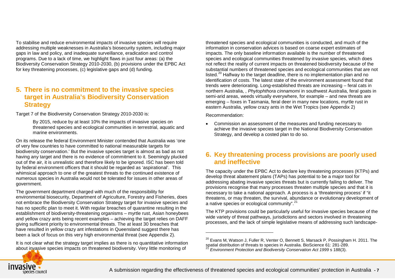To stabilise and reduce environmental impacts of invasive species will require addressing multiple weaknesses in Australia's biosecurity system, including major gaps in law and policy, and inadequate surveillance, eradication and control programs. Due to a lack of time, we highlight flaws in just four areas: (a) the Biodiversity Conservation Strategy 2010-2030, (b) provisions under the EPBC Act for key threatening processes, (c) legislative gaps and (d) funding.

## <span id="page-6-0"></span>**5. There is no commitment to the invasive species target in Australia's Biodiversity Conservation Strategy**

Target 7 of the Biodiversity Conservation Strategy 2010-2030 is:

By 2015, reduce by at least 10% the impacts of invasive species on threatened species and ecological communities in terrestrial, aquatic and marine environments.

On its release the federal Environment Minister contended that Australia was 'one of very few countries to have committed to national measurable targets for biodiversity conservation.' But the invasive species target is almost as bad as not having any target and there is no evidence of commitment to it. Seemingly plucked out of the air, it is unrealistic and therefore likely to be ignored. ISC has been told by federal environment officers that it should be regarded as 'aspirational'. This whimsical approach to one of the greatest threats to the continued existence of numerous species in Australia would not be tolerated for issues in other areas of government.

The government department charged with much of the responsibility for environmental biosecurity, Department of Agriculture, Forestry and Fisheries, does not embrace the Biodiversity Conservation Strategy target for invasive species and has no specific plan to meet it. With regular breaches of quarantine resulting in the establishment of biodiversity-threatening organisms – myrtle rust, Asian honeybees and yellow crazy ants being recent examples – achieving the target relies on DAFF giving sufficient priority to environmental threats. The at least 30 breaches that have resulted in yellow crazy ant infestations in Queensland suggest there has been a lack of focus on this very high environmental threat (see Appendix 2).

It is not clear what the strategy target implies as there is no quantitative information about invasive species impacts on threatened biodiversity. Very little monitoring of

<span id="page-6-3"></span><span id="page-6-2"></span>threatened species and ecological communities is conducted, and much of the information in conservation advices is based on coarse expert estimates of impacts. The only baseline information available is the number of threatened species and ecological communities threatened by invasive species, which does not reflect the reality of current impacts on threatened biodiversity because of the substantial numbers of threatened species and ecological communities that are not listed.[20](#page-6-2) Halfway to the target deadline, there is no implementation plan and no identification of costs. The latest state of the environment assessment found that trends were deteriorating. Long-established threats are increasing – feral cats in northern Australia, , *Phytophthora cinnamomi* in southwest Australia, feral goats in semi-arid areas, weeds virtually everywhere, for example – and new threats are emerging – foxes in Tasmania, feral deer in many new locations, myrtle rust in eastern Australia, yellow crazy ants in the Wet Tropics (see Appendix 2)

Recommendation:

-

• Commission an assessment of the measures and funding necessary to achieve the invasive species target in the National Biodiversity Conservation Strategy, and develop a costed plan to do so.

## <span id="page-6-1"></span>**6. Key threatening process provisions are poorly used and ineffective**

The capacity under the EPBC Act to declare key threatening processes (KTPs) and develop threat abatement plans (TAPs) has potential to be a major tool for addressing abating invasive species threats but is currently failing to deliver. The provisions recognise that many processes threaten multiple species and that it is necessary to take a national approach. A process is a 'threatening process' if "it threatens, or may threaten, the survival, abundance or evolutionary development of a native species or ecological community".<sup>[21](#page-6-3)</sup>

The KTP provisions could be particularly useful for invasive species because of the wide variety of threat pathways, jurisdictions and sectors involved in threatening processes, and the lack of simple legislative means of addressing such landscape-



<sup>&</sup>lt;sup>20</sup> Evans M, Watson J, Fuller R, Venter O, Bennett S, Marsack P, Possingham H. 2011. The spatial distribution of threats to species in Australia. BioScience 61: 281-289.

Environment Protection and Biodiversity Conservation Act 1999 s 188(3).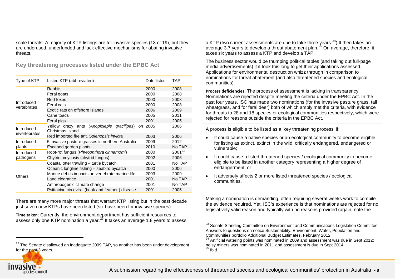scale threats. A majority of KTP listings are for invasive species (13 of 19), but they are underused, underfunded and lack effective mechanisms for abating invasive threats.

**Key threatening processes listed under the EPBC Act**

| Type of KTP               | Listed KTP (abbreviated)                                       | Date listed | <b>TAP</b>  |
|---------------------------|----------------------------------------------------------------|-------------|-------------|
|                           | <b>Rabbits</b>                                                 | 2000        | 2008        |
|                           | Feral goats                                                    | 2000        | 2008        |
|                           | Red foxes                                                      | 2000        | 2008        |
| Introduced<br>vertebrates | Feral cats                                                     | 2000        | 2008        |
|                           | Exotic rats on offshore islands                                | 2006        | 2009        |
|                           | Cane toads                                                     | 2005        | 2011        |
|                           | Feral pigs                                                     | 2001        | 2005        |
| Introduced                | Yellow crazy ants (Anoplolepis gracilipes)<br>Christmas Island | 2005<br>on. | 2006        |
| invertebrates             | Red imported fire ant, Solenopsis invicta                      | 2003        | 2006        |
| Introduced                | 5 invasive pasture grasses in northern Australia               | 2009        | 2012        |
| plants                    | Escaped garden plants                                          | 2010        | No TAP      |
| Introduced                | Root-rot fungus (Phytophthora cinnamomi)                       | 2000        | $2001^{22}$ |
| pathogens                 | Chytridiomycosis (chytrid fungus)                              | 2002        | 2006        |
|                           | Coastal otter trawling - turtle bycatch                        | 2001        | No TAP      |
|                           | Oceanic longline fishing - seabird bycatch                     | 2000        | 2006        |
| Others                    | Marine debris impacts on vertebrate marine life                | 2003        | 2009        |
|                           | Land clearance                                                 | 2001        | No TAP      |
|                           | Anthropogenic climate change                                   | 2001        | No TAP      |
|                           | Psittacine circoviral (beak and feather) disease               | 2001        | 2005        |

There are many more major threats that warrant KTP listing but in the past decade just seven new KTPs have been listed (six have been for invasive species).

**Time taken**: Currently, the environment department has sufficient resources to assess only one KTP nomination a year.<sup>[23](#page-7-1)</sup> It takes an average 1.8 years to assess <span id="page-7-3"></span><span id="page-7-2"></span><span id="page-7-1"></span><span id="page-7-0"></span>a KTP (two current assessments are due to take three years. $^{24}$ ) It then takes an average 3.7 years to develop a threat abatement plan.<sup>[25](#page-7-3)</sup> On average, therefore, it takes six years to assess a KTP and develop a TAP.

The business sector would be thumping political tables (and taking out full-page media advertisements) if it took this long to get their applications assessed. Applications for environmental destruction whizz through in comparison to nominations for threat abatement (and also threatened species and ecological communities).

**Process deficiencies**: The process of assessment is lacking in transparency. Nominations are rejected despite meeting the criteria under the EPBC Act. In the past four years, ISC has made two nominations (for the invasive pasture grass, tall wheatgrass, and for feral deer) both of which amply met the criteria, with evidence for threats to 28 and 18 species or ecological communities respectively, which were rejected for reasons outside the criteria in the EPBC Act.

A process is eligible to be listed as a 'key threatening process' if:

- It could cause a native species or an ecological community to become eligible for listing as extinct, extinct in the wild, critically endangered, endangered or vulnerable;
- It could cause a listed threatened species / ecological community to become eligible to be listed in another category representing a higher degree of endangerment; or
- It adversely affects 2 or more listed threatened species / ecological communities.

Making a nomination is demanding, often requiring several weeks work to compile the evidence required. Yet, ISC's experience is that nominations are rejected for no legislatively valid reason and typically with no reasons provided (again, note the



 $\ddot{\phantom{a}}$ 

 $22$  The Senate disallowed an inadequate 2009 TAP, so another has been under development for the past 3 years.

<sup>&</sup>lt;sup>23</sup> Senate Standing Committee on Environment and Communications Legislation Committee Answers to questions on notice Sustainability, Environment, Water, Population and Communities portfolio Additional Budget Estimates, February 2012

<sup>&</sup>lt;sup>24</sup> Artificial watering points was nominated in 2009 and assessment was due in Sept 2012; noisy miners was nominated in 2011 and assessment is due in Sept 2014.  $25$  Ibid.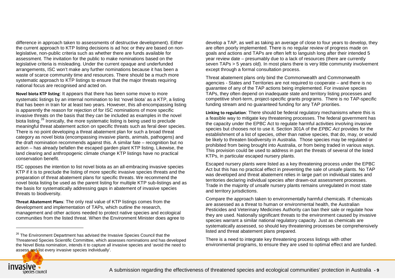difference in approach taken to assessments of destructive development). Either the current approach to KTP listing decisions is ad hoc or they are based on nonlegislative, non-public criteria such as whether there are funds available for assessment. The invitation for the public to make nominations based on the legislative criteria is misleading. Under the current opaque and underfunded arrangements, ISC won't make any further nominations because it has been a waste of scarce community time and resources. There should be a much more systematic approach to KTP listings to ensure that the major threats requiring national focus are recognised and acted on.

**Novel biota KTP listing**: It appears that there has been some move to more systematic listings by an internal nomination to list 'novel biota' as a KTP, a listing that has been in train for at least two years. However, this all-encompassing listing is apparently the reason for rejection of for ISC nominations of more specific invasive threats on the basis that they can be included as examples in the novel biota listing.<sup>[26](#page-8-0)</sup> Ironically, the more systematic listing is being used to preclude meaningful threat abatement action on specific threats such as feral deer species. There is no point developing a threat abatement plan for such a broad threat category as novel biota (encompassing invasive plants, animals, pathogens) and the draft nomination recommends against this. A similar fate – recognition but no action – has already befallen the escaped garden plant KTP listing. Likewise, the land clearing and anthropogenic climate change KTP listings have no practical conservation benefit.

ISC opposes the intention to list novel biota as an all-embracing invasive species KTP if it is to preclude the listing of more specific invasive species threats and the preparation of threat abatement plans for specific threats. We recommend the novel biota listing be used as the parent listing for multiple KTP sub-listings and as the basis for systematically addressing gaps in abatement of invasive species threats to biodiversity.

**Threat Abatement Plans**: The only real value of KTP listings comes from the development and implementation of TAPs, which outline the research, management and other actions needed to protect native species and ecological communities from the listed threat. When the Environment Minister does agree to <span id="page-8-0"></span>develop a TAP, as well as taking an average of close to four years to develop, they are often poorly implemented. There is no regular review of progress made on goals and actions and TAPs are often left to languish long after their intended 5 year review date – presumably due to a lack of resources (there are currently seven TAPs > 5 years old). In most plans there is very little community involvement except through a formal consultation process.

Threat abatement plans only bind the Commonwealth and Commonwealth agencies - States and Territories are not required to cooperate – and there is no guarantee of any of the TAP actions being implemented. For invasive species TAPs, they often depend on inadequate state and territory listing processes and competitive short-term, project-specific grants programs. There is no TAP-specific funding stream and no guaranteed funding for any TAP priorities.

**Linking to regulation**: There should be federal regulatory mechanisms where this is a feasible way to mitigate key threatening processes. The federal government has the capacity under the EPBC Act to regulate harmful activities involving invasive species but chooses not to use it. Section 301A of the *EPBC Act* provides for the establishment of a list of species, other than native species, that do, may, or would be likely to threaten biodiversity in Australia. Those species may be regulated or prohibited from being brought into Australia, or from being traded in various ways. This provision could be used to address in part the threats of several of the listed KTPs, in particular escaped nursery plants.

Escaped nursery plants were listed as a key threatening process under the EPBC Act but this has no practical effect in preventing the sale of unsafe plants. No TAP was developed and threat abatement relies in large part on individual states and territories declaring individual species after drawn-out assessment processes. Trade in the majority of unsafe nursery plants remains unregulated in most state and territory jurisdictions.

Compare the approach taken to environmentally harmful chemicals. If chemicals are assessed as a threat to human or environmental health, the Australian Pesticides and Veterinary Medicines Authority can ban their sale or regulate how they are used. Nationally significant threats to the environment caused by invasive species warrant a similar national regulatory capacity. Just as chemicals are systematically assessed, so should key threatening processes be comprehensively listed and threat abatement plans prepared.

There is a need to integrate key threatening process listings with other environmental programs, to ensure they are used to optimal effect and are funded.



 $26$  The Environment Department has advised the Invasive Species Council that the Threatened Species Scientific Committee, which assesses nominations and has developed the Novel Biota nomination, intends it to capture all invasive species and 'avoid the need to assess and list every invasive species individually'.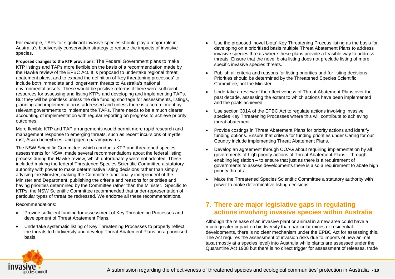For example, TAPs for significant invasive species should play a major role in Australia's biodiversity conservation strategy to reduce the impacts of invasive species.

**Proposed changes to the KTP provisions**: The Federal Government plans to make KTP listings and TAPs more flexible on the basis of a recommendation made by the Hawke review of the EPBC Act. It is proposed to undertake regional threat abatement plans, and to expand the definition of 'key threatening processes' to include both immediate and longer-term threats to Australia's national environmental assets. These would be positive reforms if there were sufficient resources for assessing and listing KTPs and developing and implementing TAPs. But they will be pointless unless the dire funding shortage for assessments, listings, planning and implementation is addressed and unless there is a commitment by relevant governments to implement the TAPs. There needs to be a much clearer accounting of implementation with regular reporting on progress to achieve priority outcomes.

More flexible KTP and TAP arrangements would permit more rapid research and management response to emerging threats, such as recent incursions of myrtle rust, Asian honeybees, and pigeon paramyxovirus.

The NSW Scientific Committee, which conducts KTP and threatened species assessments for NSW, made several recommendations about the federal listing process during the Hawke review, which unfortunately were not adopted. These included making the federal Threatened Species Scientific Committee a statutory authority with power to make determinative listing decisions rather than simply advising the Minister, making the Committee functionally independent of the Minister and Department, publishing the criteria and reasons for priorities and having priorities determined by the Committee rather than the Minister. Specific to KTPs, the NSW Scientific Committee recommended that under-representation of particular types of threat be redressed. We endorse all these recommendations.

Recommendations:

- Provide sufficient funding for assessment of Key Threatening Processes and development of Threat Abatement Plans.
- Undertake systematic listing of Key Threatening Processes to properly reflect the threats to biodiversity and develop Threat Abatement Plans on a prioritised basis.
- Use the proposed 'novel biota' Key Threatening Process listing as the basis for developing on a prioritised basis multiple Threat Abatement Plans to address invasive species threats where these plans provide a feasible way to address threats. Ensure that the novel biota listing does not preclude listing of more specific invasive species threats.
- Publish all criteria and reasons for listing priorities and for listing decisions. Priorities should be determined by the Threatened Species Scientific Committee, not the Minister.
- Undertake a review of the effectiveness of Threat Abatement Plans over the past decade, assessing the extent to which actions have been implemented and the goals achieved.
- Use section 301A of the EPBC Act to regulate actions involving invasive species Key Threatening Processes where this will contribute to achieving threat abatement.
- Provide costings in Threat Abatement Plans for priority actions and identify funding options. Ensure that criteria for funding priorities under Caring for our Country include implementing Threat Abatement Plans.
- Develop an agreement through COAG about requiring implementation by all governments of high priority actions of Threat Abatement Plans – through enabling legislation – to ensure that just as there is a requirement of governments to assess developments there is also a requirement to abate high priority threats.
- Make the Threatened Species Scientific Committee a statutory authority with power to make determinative listing decisions.

## <span id="page-9-0"></span>**7. There are major legislative gaps in regulating actions involving invasive species within Australia**

Although the release of an invasive plant or animal in a new area could have a much greater impact on biodiversity than particular mines or residential developments, there is no clear mechanism under the EPBC Act for assessing this. The Act requires the assessment of invasion risks due to imports of new animal taxa (mostly at a species level) into Australia while plants are assessed under the Quarantine Act 1908 but there is no direct trigger for assessment of releases, trade

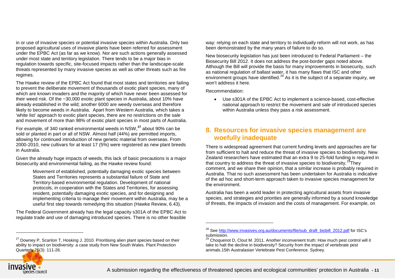in or use of invasive species or potential invasive species within Australia. Only two proposed agricultural uses of invasive plants have been referred for assessment under the EPBC Act (as far as we know). Nor are such actions generally assessed under most state and territory legislation. There tends to be a major bias in regulation towards specific, site-focused impacts rather than the landscape-scale threats represented by many invasive species as well as other threats such as fire regimes.

The Hawke review of the EPBC Act found that most states and territories are failing to prevent the deliberate movement of thousands of exotic plant species, many of which are known invaders and the majority of which have never been assessed for their weed risk. Of the ~30,000 exotic plant species in Australia, about 10% have already established in the wild; another 6000 are weedy overseas and therefore likely to become weeds in Australia. Apart from Western Australia, which takes a 'white list' approach to exotic plant species, there are no restrictions on the sale and movement of more than 98% of exotic plant species in most parts of Australia.

For example, of 340 ranked environmental weeds in NSW,**[27](#page-10-1)** about 90% can be sold or planted in part or all of NSW. Almost half (44%) are permitted imports, allowing for continued introduction of new genetic material from overseas. From 2000-2010, new cultivars for at least 17 (5%) were registered as new plant breeds in Australia.

Given the already huge impacts of weeds, this lack of basic precautions is a major biosecurity and environmental failing, as the Hawke review found:

Movement of established, potentially damaging exotic species between States and Territories represents a substantial failure of State and Territory‐based environmental regulation. Development of national protocols, in cooperation with the States and Territories, for assessing resident, potentially damaging exotic species, and for designing and implementing criteria to manage their movement within Australia, may be a useful first step towards remedying this situation (Hawke Review, 6.43).

The Federal Government already has the legal capacity s301A of the EPBC Act to regulate trade and use of damaging introduced species. There is no other feasible

 $27$  Downey P, Scanlon T, Hosking J. 2010. Prioritising alien plant species based on their ability to impact on biodiversity: a case study from New South Wales. Plant Protection Quarterly 25(3): 111-26.

<span id="page-10-2"></span><span id="page-10-1"></span>way: relying on each state and territory to individually reform will not work, as has been demonstrated by the many years of failure to do so.

New biosecurity legislation has just been introduced to Federal Parliament – the Biosecurity Bill 2012. It does not address the post-border gaps noted above. Although the Bill will provide the basis for many improvements in biosecurity, such as national regulation of ballast water, it has many flaws that ISC and other environment groups have identified.<sup>[28](#page-10-2)</sup> As it is the subject of a separate inquiry, we won't address it here.

Recommendation:

-

• Use s301A of the EPBC Act to implement a science-based, cost-effective national approach to restrict the movement and sale of introduced species within Australia unless they pass a risk assessment.

## <span id="page-10-0"></span>**8. Resources for invasive species management are woefully inadequate**

There is widespread agreement that current funding levels and approaches are far from sufficient to halt and reduce the threat of invasive species to biodiversity. New Zealand researchers have estimated that an extra 9 to 25-fold funding is required in that country to address the threat of invasive species to biodiversity.<sup>29</sup>They comment, and we share their opinion, that a similar increase is probably required in Australia. That no such assessment has been undertaken for Australia is indicative of the ad hoc and short-term approach taken to invasive species management for the environment.

Australia has been a world leader in protecting agricultural assets from invasive species, and strategies and priorities are generally informed by a sound knowledge of threats, the impacts of invasion and the costs of management. For example, on



<sup>&</sup>lt;sup>28</sup> See [http://www.invasives.org.au/documents/file/sub\\_draft\\_biobill\\_2012.pdf](http://www.invasives.org.au/documents/file/sub_draft_biobill_2012.pdf) for ISC's submission.

<sup>&</sup>lt;sup>29</sup> Choquenot D, Clout M. 2011. Another inconvenient truth: How much pest control will it take to halt the decline in biodiversity? Security from the impact of vertebrate pest animals.15th Australasian Vertebrate Pest Conference. Sydney.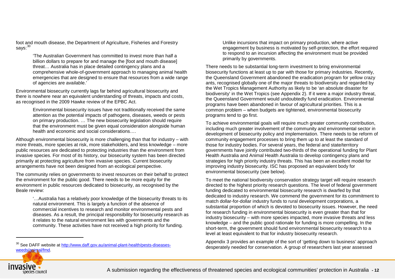foot and mouth disease, the Department of Agriculture, Fisheries and Forestry says: $30$ 

> 'The Australian Government has committed to invest more than half a billion dollars to prepare for and manage the [foot and mouth disease] threat… Australia has in place detailed contingency plans and a comprehensive whole-of-government approach to managing animal health emergencies that are designed to ensure that resources from a wide range of agencies are available.'

Environmental biosecurity currently lags far behind agricultural biosecurity and there is nowhere near an equivalent understanding of threats, impacts and costs, as recognised in the 2009 Hawke review of the EPBC Act.

Environmental biosecurity issues have not traditionally received the same attention as the potential impacts of pathogens, diseases, weeds or pests on primary production. … The new biosecurity legislation should require that the environment must be given equal consideration alongside human health and economic and social considerations….

Although environmental biosecurity is more challenging than that for industry – with more threats, more species at risk, more stakeholders, and less knowledge – more public resources are dedicated to protecting industries than the environment from invasive species. For most of its history, our biosecurity system has been directed primarily at protecting agriculture from invasive species. Current biosecurity arrangements have not been designed from an ecological perspective.

The community relies on governments to invest resources on their behalf to protect the environment for the public good. There needs to be more equity for the environment in public resources dedicated to biosecurity, as recognised by the Beale review:

'…Australia has a relatively poor knowledge of the biosecurity threats to its natural environment. This is largely a function of the absence of commercial incentives to research and monitor environmental pests and diseases. As a result, the principal responsibility for biosecurity research as it relates to the natural environment lies with governments and the community. These activities have not received a high priority for funding.

<span id="page-11-0"></span>Unlike incursions that impact on primary production, where active engagement by business is motivated by self-protection, the effort required to respond to an incursion affecting the environment must be provided primarily by governments.

There needs to be substantial long-term investment to bring environmental biosecurity functions at least up to par with those for primary industries. Recently, the Queensland Government abandoned the eradication program for yellow crazy ants, recognised globally one of the major threats to biodiversity and regarded by the Wet Tropics Management Authority as likely to be 'an absolute disaster for biodiversity' in the Wet Tropics (see Appendix 2). If it were a major industry threat, the Queensland Government would undoubtedly fund eradication. Environmental programs have been abandoned in favour of agricultural priorities. This is a common problem – when budgets are tightened, environmental biosecurity programs tend to go first.

To achieve environmental goals will require much greater community contribution, including much greater involvement of the community and environmental sector in development of biosecurity policy and implementation. There needs to be reform of community engagement processes to bring them up to at least the standard of those for industry bodies. For several years, the federal and state/territory governments have jointly contributed two-thirds of the operational funding for Plant Health Australia and Animal Health Australia to develop contingency plans and strategies for high priority industry threats. This has been an excellent model for improving industry biosecurity. ISC has proposed an equivalent body for environmental biosecurity (see below).

To meet the national biodiversity conservation strategy target will require research directed to the highest priority research questions. The level of federal government funding dedicated to environmental biosecurity research is dwarfed by that dedicated to industry research. We commend the government for its commitment to match dollar-for-dollar industry funds to rural development corporations, a substantial proportion of which is devoted to biosecurity issues. However, the need for research funding in environmental biosecurity is even greater than that for industry biosecurity – with more species impacted, more invasive threats and less knowledge – and the public good rationale for funding is more compelling. In the short-term, the government should fund environmental biosecurity research to a level at least equivalent to that for industry biosecurity research.

Appendix 3 provides an example of the sort of 'getting down to business' approach desperately needed for conservation. A group of researchers last year assessed



<sup>&</sup>lt;sup>30</sup> See DAFF website a[t http://www.daff.gov.au/animal-plant-health/pests-diseases](http://www.daff.gov.au/animal-plant-health/pests-diseases-weeds/animal/fmd)[weeds/animal/fmd.](http://www.daff.gov.au/animal-plant-health/pests-diseases-weeds/animal/fmd)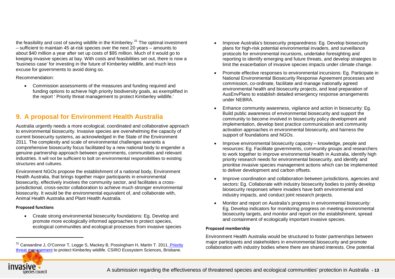the feasibility and cost of saving wildlife in the Kimberley.<sup>[31](#page-12-1)</sup> The optimal investment – sufficient to maintain 45 at-risk species over the next 20 years – amounts to about \$40 million a year after set up costs of \$95 million. Much of it would go to keeping invasive species at bay. With costs and feasibilities set out, there is now a 'business case' for investing in the future of Kimberley wildlife, and much less excuse for governments to avoid doing so.

#### Recommendation:

• Commission assessments of the measures and funding required and funding options to achieve high priority biodiversity goals, as exemplified in the report ' Priority threat management to protect Kimberley wildlife.'

## <span id="page-12-0"></span>**9. A proposal for Environment Health Australia**

Australia urgently needs a more ecological, coordinated and collaborative approach to environmental biosecurity. Invasive species are overwhelming the capacity of current biosecurity systems, as acknowledged in the State of the Environment 2011. The complexity and scale of environmental challenges warrants a comprehensive biosecurity focus facilitated by a new national body to engender a genuine partnership approach between governments, communities and relevant industries. It will not be sufficient to bolt on environmental responsibilities to existing structures and cultures.

Environment NGOs propose the establishment of a national body, Environment Health Australia, that brings together major participants in environmental biosecurity, effectively involves the community sector, and facilitates a crossjurisdictional, cross-sector collaboration to achieve much stronger environmental biosecurity. It would be the environmental equivalent of, and collaborate with, Animal Health Australia and Plant Health Australia.

#### **Proposed functions**

• Create strong environmental biosecurity foundations: Eg. Develop and promote more ecologically informed approaches to protect species, ecological communities and ecological processes from invasive species

- <span id="page-12-1"></span>• Improve Australia's biosecurity preparedness: Eg. Develop biosecurity plans for high-risk potential environmental invaders, and surveillance protocols for environmental incursions, undertake foresighting and reporting to identify emerging and future threats, and develop strategies to limit the exacerbation of invasive species impacts under climate change.
- Promote effective responses to environmental incursions: Eg. Participate in National Environmental Biosecurity Response Agreement processes and commission, co-ordinate, facilitate and manage nationally agreed environmental health and biosecurity projects, and lead preparation of AusEnvPlans to establish detailed emergency response arrangements under NEBRA.
- Enhance community awareness, vigilance and action in biosecurity: Eg. Build public awareness of environmental biosecurity and support the community to become involved in biosecurity policy development and implementation, develop best practice communication and community activation approaches in environmental biosecurity, and harness the support of foundations and NGOs.
- Improve environmental biosecurity capacity knowledge, people and resources: Eg. Facilitate governments, community groups and researchers to work together to improve environmental health in Australia, identify high priority research needs for environmental biosecurity, and identify and prioritise invasive species management actions which can be implemented to deliver development and carbon offsets.
- Improve coordination and collaboration between jurisdictions, agencies and sectors: Eg. Collaborate with industry biosecurity bodies to jointly develop biosecurity responses where invaders have both environmental and industry impacts, and conduct joint research projects.
- Monitor and report on Australia's progress in environmental biosecurity: Eg. Develop indicators for monitoring progress on meeting environmental biosecurity targets, and monitor and report on the establishment, spread and containment of ecologically important invasive species.

#### **Proposed membership**

Environment Health Australia would be structured to foster partnerships between major participants and stakeholders in environmental biosecurity and promote collaboration with industry bodies where there are shared interests. One potential



<sup>&</sup>lt;sup>31</sup> Carwardine J, O'Connor T, Legge S, Mackey B, Possingham H, Martin T. 2011. Priority [threat management](http://invasivesblog.com/2012/09/15/the-cost-of-saving-the-kimberleys-wildlife/www.csiro.au/files/files/pzk8.pdf) to protect Kimberley wildlife. CSIRO Ecosystem Sciences, Brisbane.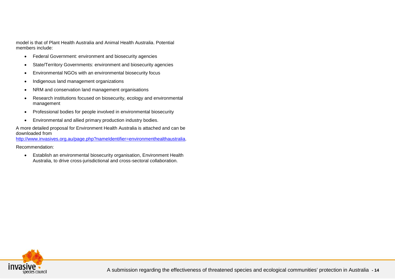model is that of Plant Health Australia and Animal Health Australia. Potential members include:

- Federal Government: environment and biosecurity agencies
- State/Territory Governments: environment and biosecurity agencies
- Environmental NGOs with an environmental biosecurity focus
- Indigenous land management organizations
- NRM and conservation land management organisations
- Research institutions focused on biosecurity, ecology and environmental management
- Professional bodies for people involved in environmental biosecurity
- Environmental and allied primary production industry bodies.

A more detailed proposal for Environment Health Australia is attached and can be downloaded from

<http://www.invasives.org.au/page.php?nameIdentifier=environmenthealthaustralia>.

#### Recommendation:

• Establish an environmental biosecurity organisation, Environment Health Australia, to drive cross-jurisdictional and cross-sectoral collaboration.

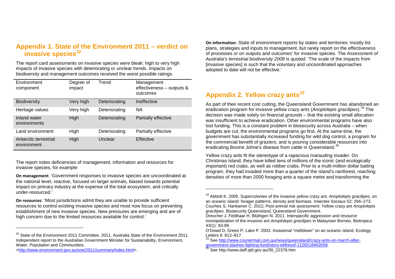## **Appendix 1. State of the Environment 2011 – verdict on invasive species[32](#page-14-1)**

The report card assessments on invasive species were bleak: high to very high impacts of invasive species with deteriorating or unclear trends. Impacts on biodiversity and management outcomes received the worst possible ratings.

| Environment<br>component             | Degree of<br>impact | Trend         | Management<br>effectiveness - outputs &<br>outcomes |
|--------------------------------------|---------------------|---------------|-----------------------------------------------------|
| <b>Biodiversity</b>                  | Very high           | Deteriorating | Ineffective                                         |
| Heritage values                      | Very high           | Deteriorating | NA.                                                 |
| Inland water<br>environments         | High                | Deteriorating | Partially effective                                 |
| Land environment                     | High                | Deteriorating | Partially effective                                 |
| Antarctic terrestrial<br>environment | High                | Unclear       | Effective                                           |

The report notes deficiencies of management, information and resources for invasive species, for example:

**On management**: 'Government responses to invasive species are uncoordinated at the national level, reactive, focused on larger animals, biased towards potential impact on primary industry at the expense of the total ecosystem, and critically under-resourced.'

**On resources**: 'Most jurisdictions admit they are unable to provide sufficient resources to control existing invasive species and most now focus on preventing establishment of new invasive species. New pressures are emerging and are of high concern due to the limited resources available for control.'

[<http://www.environment.gov.au/soe/2011/summary/index.html>](http://www.environment.gov.au/soe/2011/summary/index.html).

 $\ddot{\phantom{a}}$ 

<span id="page-14-4"></span><span id="page-14-3"></span><span id="page-14-2"></span><span id="page-14-1"></span>**On information**: State of environment reports by states and territories 'mostly list plans, strategies and inputs to management, but rarely report on the effectiveness of processes or on outputs and outcomes' for invasive species. The *Assessment of Australia's terrestrial biodiversity 2008* is quoted: 'The scale of the impacts from [invasive species] is such that the voluntary and uncoordinated approaches adopted to date will not be effective.'

## <span id="page-14-0"></span>**Appendix 2. Yellow crazy ants[33](#page-14-2)**

As part of their recent cost cutting, the Queensland Government has abandoned an eradication program for invasive yellow crazy ants (*Anoplolepis gracilipes*).[34](#page-14-3) The decision was made solely on financial grounds – that the existing small allocation was insufficient to achieve eradication. Other environmental programs have also lost funding. This is a constant problem in biosecurity across Australia – when budgets are cut, the environmental programs go first. At the same time, the government has substantially increased funding for wild dog control, a program for the commercial benefit of graziers, and is pouring considerable resources into eradicating Bovine Johne's disease from cattle in Queensland.<sup>[35](#page-14-4)</sup>

Yellow crazy ants fit the stereotype of a rapacious marauding invader. On Christmas Island, they have killed tens of millions of the iconic (and ecologically important) red crabs, as well as robber crabs. Prior to a multi-million dollar baiting program, they had invaded more than a quarter of the island's rainforest, reaching densities of more than 2000 foraging ants a square metre and transforming the

<sup>&</sup>lt;sup>32</sup> State of the Environment 2011 Committee. 2011. Australia State of the Environment 2011. Independent report to the Australian Government Minister for Sustainability, Environment, Water, Population and Communities.

<sup>33</sup> Abbott K. 2005. Supercolonies of the invasive yellow crazy ant, *Anoplolepis gracilipes*, on an oceanic island: forager patterns, density and biomass. Insectes Sociaux 52: 266–273. Csurhes S, Hankamer C. 2012**.** Pest animal risk assessment: Yellow crazy ant *Anoplolepis gracilipes*. Biosecurity Queensland, Queensland Government.

Drescher J, Feldhaar H, Blüthgen N. 2011. Interspecific aggression and resource monopolization of the invasive ant *Anoplolepis gracilipes* in Malaysian Borneo. Biotropica 43(1): 93-99.

O'Dowd D, Green P, Lake P. 2003. Invasional "meltdown" on an oceanic island. Ecology

<sup>&</sup>lt;sup>34</sup> See http://www.couriermail.com.au/news/queensland/crazy-ants-on-march-after-<br>government-slashes-fighting-fund/story-e6freoof-1226518463558.

 $35$  See http://www.daff.qld.gov.au/30\_22376.htm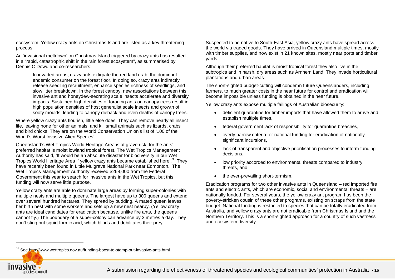ecosystem. Yellow crazy ants on Christmas Island are listed as a key threatening process.

An 'invasional meltdown' on Christmas Island triggered by crazy ants has resulted in a "rapid, catastrophic shift in the rain forest ecosystem", as summarised by Dennis O'Dowd and co-researchers:

In invaded areas, crazy ants extirpate the red land crab, the dominant endemic consumer on the forest floor. In doing so, crazy ants indirectly release seedling recruitment, enhance species richness of seedlings, and slow litter breakdown. In the forest canopy, new associations between this invasive ant and honeydew-secreting scale insects accelerate and diversify impacts. Sustained high densities of foraging ants on canopy trees result in high population densities of host generalist scale insects and growth of sooty moulds, leading to canopy dieback and even deaths of canopy trees.

Where yellow crazy ants flourish, little else does. They can remove nearly all insect life, leaving none for other animals, and kill small animals such as lizards, crabs and bird chicks. They are on the World Conservation Union's list of '100 of the World's Worst Invasive Alien Species'.

Queensland's Wet Tropics World Heritage Area is at grave risk, for the ants' preferred habitat is moist lowland tropical forest. The Wet Tropics Management Authority has said, 'It would be an absolute disaster for biodiversity in our Wet Tropics World Heritage Area if yellow crazy ants became established here'.<sup>[36](#page-15-1)</sup> They have recently been found in Little Mulgrave National Park near Edmonton. The Wet Tropics Management Authority received \$268,000 from the Federal Government this year to search for invasive ants in the Wet Tropics, but this funding will now serve little purpose.

Yellow crazy ants are able to dominate large areas by forming super-colonies with multiple nests and multiple queens. The largest have up to 300 queens and extend over several hundred hectares. They spread by budding. A mated queen leaves her birth nest with some workers and sets up a new nest nearby. (Yellow crazy ants are ideal candidates for eradication because, unlike fire ants, the queens cannot fly.) The boundary of a super-colony can advance by 3 metres a day. They don't sting but squirt formic acid, which blinds and debilitates their prey.

<span id="page-15-1"></span>Suspected to be native to South-East Asia, yellow crazy ants have spread across the world via traded goods. They have arrived in Queensland multiple times, mostly with timber supplies, and now exist in 21 known sites, mostly near ports and timber yards.

Although their preferred habitat is moist tropical forest they also live in the subtropics and in harsh, dry areas such as Arnhem Land. They invade horticultural plantations and urban areas.

The short-sighted budget-cutting will condemn future Queenslanders, including farmers, to much greater costs in the near future for control and eradication will become impossible unless funding is obtained in the near future.

Yellow crazy ants expose multiple failings of Australian biosecurity:

- deficient quarantine for timber imports that have allowed them to arrive and establish multiple times,
- federal government lack of responsibility for quarantine breaches,
- overly narrow criteria for national funding for eradication of nationally significant incursions.
- lack of transparent and objective prioritisation processes to inform funding decisions,
- low priority accorded to environmental threats compared to industry threats, and
- the ever-prevailing short-termism.

<span id="page-15-0"></span>Eradication programs for two other invasive ants in Queensland – red imported fire ants and electric ants, which are economic, social and environmental threats – are nationally funded. For several years, the yellow crazy ant program has been the poverty-stricken cousin of these other programs, existing on scraps from the state budget. National funding is restricted to species that can be totally eradicated from Australia, and yellow crazy ants are not eradicable from Christmas Island and the Northern Territory. This is a short-sighted approach for a country of such vastness and ecosystem diversity.

<sup>36</sup> See http://www.wettropics.gov.au/funding-boost-to-stamp-out-invasive-ants.html

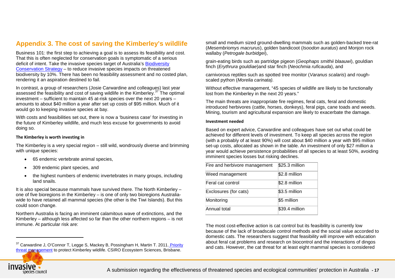## **Appendix 3. The cost of saving the Kimberley's wildlife**

Business 101: the first step to achieving a goal is to assess its feasibility and cost. That this is often neglected for conservation goals is symptomatic of a serious deficit of intent. Take the invasive species target of Australia's [Biodiversity](http://www.environment.gov.au/biodiversity/strategy/index.html)  [Conservation Strategy](http://www.environment.gov.au/biodiversity/strategy/index.html) – to reduce invasive species impacts on threatened biodiversity by 10%. There has been no feasibility assessment and no costed plan, rendering it an aspiration destined to fail.

In contrast, a group of researchers (Josie Carwardine and colleagues) last year assessed the feasibility and cost of saving wildlife in the Kimberley.<sup>[37](#page-16-0)</sup> The optimal investment – sufficient to maintain 45 at-risk species over the next 20 years – amounts to about \$40 million a year after set up costs of \$95 million. Much of it would go to keeping invasive species at bay.

With costs and feasibilities set out, there is now a 'business case' for investing in the future of Kimberley wildlife, and much less excuse for governments to avoid doing so.

#### **The Kimberley is worth investing in**

The Kimberley is a very special region – still wild, wondrously diverse and brimming with unique species:

- 65 endemic vertebrate animal species,
- 309 endemic plant species, and
- the highest numbers of endemic invertebrates in many groups, including land snails.

It is also special because mammals have survived there. The North Kimberley – one of five bioregions in the Kimberley – is one of only two bioregions Australiawide to have retained all mammal species (the other is the Tiwi Islands). But this could soon change.

Northern Australia is facing an imminent calamitous wave of extinctions, and the Kimberley – although less affected so far than the other northern regions – is not immune. At particular risk are:

<span id="page-16-0"></span>small and medium sized ground-dwelling mammals such as golden-backed tree-rat (*Mesembriomys macrurus*), golden bandicoot (*Isoodon auratus*) and Monjon rock wallaby (*Petrogale burbidgei*),

grain-eating birds such as partridge pigeon (*Geophaps smithii blaauwi*), gouldian finch (*Erythrura gouldiae*)and star finch (*Neochmia ruficauda*), and

carnivorous reptiles such as spotted tree monitor (*Varanus scalaris*) and roughscaled python (*Morelia carinata).*

Without effective management, "45 species of wildlife are likely to be functionally lost from the Kimberley in the next 20 years."

The main threats are inappropriate fire regimes, feral cats, feral and domestic introduced herbivores (cattle, horses, donkeys), feral pigs, cane toads and weeds. Mining, tourism and agricultural expansion are likely to exacerbate the damage.

#### **Investment needed**

Based on expert advice, Carwardine and colleagues have set out what could be achieved for different levels of investment. To keep all species across the region (with a probably of at least 90%) will cost about \$40 million a year with \$95 million set-up costs, allocated as shown in the table. An investment of only \$27 million a year would achieve persistence probabilities of all species to at least 50%, avoiding imminent species losses but risking declines.

| Fire and herbivore management | \$25.3 million |
|-------------------------------|----------------|
| Weed management               | \$2.8 million  |
| Feral cat control             | $$2.8$ million |
| Exclosures (for cats)         | \$3.5 million  |
| Monitoring                    | \$5 million    |
| Annual total                  | \$39.4 million |

The most cost-effective action is cat control but its feasibility is currently low because of the lack of broadscale control methods and the social value accorded to domestic cats. The researchers suggest that feasibility will improve with education about feral cat problems and research on biocontrol and the interactions of dingos and cats. However, the cat threat for at least eight mammal species is considered



<sup>&</sup>lt;sup>37</sup> Carwardine J, O'Connor T, Legge S, Mackey B, Possingham H, Martin T. 2011. Priority [threat management](http://invasivesblog.com/2012/09/15/the-cost-of-saving-the-kimberleys-wildlife/www.csiro.au/files/files/pzk8.pdf) to protect Kimberley wildlife. CSIRO Ecosystem Sciences, Brisbane.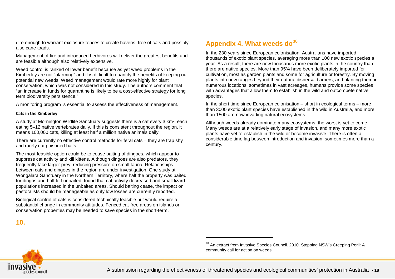dire enough to warrant exclosure fences to create havens free of cats and possibly also cane toads.

Management of fire and introduced herbivores will deliver the greatest benefits and are feasible although also relatively expensive.

Weed control is ranked of lower benefit because as yet weed problems in the Kimberley are not "alarming" and it is difficult to quantify the benefits of keeping out potential new weeds. Weed management would rate more highly for plant conservation, which was not considered in this study. The authors comment that "an increase in funds for quarantine is likely to be a cost-effective strategy for long term biodiversity persistence."

A monitoring program is essential to assess the effectiveness of management.

#### **Cats in the Kimberley**

A study at Mornington Wildlife Sanctuary suggests there is a cat every 3 km², each eating 5–12 native vertebrates daily. If this is consistent throughout the region, it means 100,000 cats, killing at least half a million native animals daily.

There are currently no effective control methods for feral cats – they are trap shy and rarely eat poisoned baits.

The most feasible option could be to cease baiting of dingoes, which appear to suppress cat activity and kill kittens. Although dingoes are also predators, they frequently take larger prey, reducing pressure on small fauna. Relationships between cats and dingoes in the region are under investigation. One study at Wongalara Sanctuary in the Northern Territory, where half the property was baited for dingos and half left unbaited, found that cat activity decreased and small lizard populations increased in the unbaited areas. Should baiting cease, the impact on pastoralists should be manageable as only low losses are currently reported.

Biological control of cats is considered technically feasible but would require a substantial change in community attitudes. Fenced cat-free areas on islands or conservation properties may be needed to save species in the short-term.

## <span id="page-17-0"></span>**10.**

## <span id="page-17-1"></span>**Appendix 4. What weeds do[38](#page-17-1)**

In the 230 years since European colonisation, Australians have imported thousands of exotic plant species, averaging more than 100 new exotic species a year. As a result, there are now thousands more exotic plants in the country than there are native species. More than 95% have been deliberately imported for cultivation, most as garden plants and some for agriculture or forestry. By moving plants into new ranges beyond their natural dispersal barriers, and planting them in numerous locations, sometimes in vast acreages, humans provide some species with advantages that allow them to establish in the wild and outcompete native species.

In the short time since European colonisation – short in ecological terms – more than 3000 exotic plant species have established in the wild in Australia, and more than 1500 are now invading natural ecosystems.

Although weeds already dominate many ecosystems, the worst is yet to come. Many weeds are at a relatively early stage of invasion, and many more exotic plants have yet to establish in the wild or become invasive. There is often a considerable time lag between introduction and invasion, sometimes more than a century.

<sup>&</sup>lt;sup>38</sup> An extract from Invasive Species Council. 2010. Stopping NSW's Creeping Peril: A community call for action on weeds.